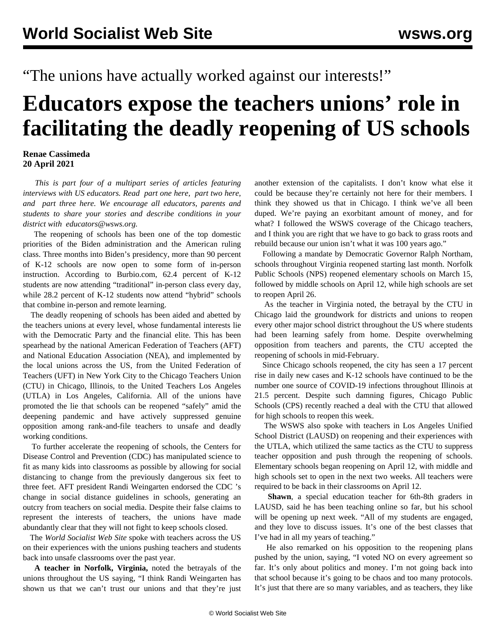## "The unions have actually worked against our interests!"

## **Educators expose the teachers unions' role in facilitating the deadly reopening of US schools**

## **Renae Cassimeda 20 April 2021**

 *This is part four of a multipart series of articles featuring interviews with US educators. Read [part one here,](/en/articles/2021/04/10/educ-a10.html) [part two here](/en/articles/2021/04/13/educ-a13.html), and [part three here](/en/articles/2021/04/17/educ-a17.html). We encourage all educators, parents and students to share your stories and describe conditions in your district with [educators@wsws.org.](mailto:educators@wsws.org)*

 The reopening of schools has been one of the top domestic priorities of the Biden administration and the American ruling class. Three months into Biden's presidency, more than 90 percent of K-12 schools are now open to some form of in-person instruction. According to Burbio.com, 62.4 percent of K-12 students are now attending "traditional" in-person class every day, while 28.2 percent of K-12 students now attend "hybrid" schools that combine in-person and remote learning.

 The deadly reopening of schools has been aided and abetted by the teachers unions at every level, whose fundamental interests lie with the Democratic Party and the financial elite. This has been spearhead by the national American Federation of Teachers (AFT) and National Education Association (NEA), and implemented by the local unions across the US, from the United Federation of Teachers (UFT) in New York City to the Chicago Teachers Union (CTU) in Chicago, Illinois, to the United Teachers Los Angeles (UTLA) in Los Angeles, California. All of the unions have promoted the lie that schools can be reopened "safely" amid the deepening pandemic and have actively suppressed genuine opposition among rank-and-file teachers to unsafe and deadly working conditions.

 To further accelerate the reopening of schools, the Centers for Disease Control and Prevention (CDC) has manipulated science to fit as many kids into classrooms as possible by allowing for social distancing to change from the previously dangerous six feet to three feet. AFT president [Randi Weingarten endorsed the CDC](/en/articles/2021/04/15/wein-a15.html) 's change in social distance guidelines in schools, generating an outcry from teachers on social media. Despite their false claims to represent the interests of teachers, the unions have made abundantly clear that they will not fight to keep schools closed.

 The *World Socialist Web Site* spoke with teachers across the US on their experiences with the unions pushing teachers and students back into unsafe classrooms over the past year.

 **A teacher in Norfolk, Virginia,** noted the betrayals of the unions throughout the US saying, "I think Randi Weingarten has shown us that we can't trust our unions and that they're just another extension of the capitalists. I don't know what else it could be because they're certainly not here for their members. I think they showed us that in Chicago. I think we've all been duped. We're paying an exorbitant amount of money, and for what? I followed the WSWS coverage of the Chicago teachers, and I think you are right that we have to go back to grass roots and rebuild because our union isn't what it was 100 years ago."

 Following a mandate by Democratic Governor Ralph Northam, schools throughout Virginia reopened starting last month. Norfolk Public Schools (NPS) reopened elementary schools on March 15, followed by middle schools on April 12, while high schools are set to reopen April 26.

 As the teacher in Virginia noted, the betrayal by the CTU in Chicago laid the groundwork for districts and unions to reopen every other major school district throughout the US where students had been learning safely from home. Despite overwhelming opposition from teachers and parents, the [CTU accepted the](/en/articles/2021/02/11/chgo-f11.html) [reopening of schools](/en/articles/2021/02/11/chgo-f11.html) in mid-February.

 Since Chicago schools reopened, the city has seen a 17 percent rise in daily new cases and K-12 schools have continued to be the number one source of COVID-19 infections throughout Illinois at 21.5 percent. Despite such damning figures, Chicago Public Schools (CPS) recently reached a deal with the CTU that allowed for high schools to reopen this week.

 The WSWS also spoke with teachers in Los Angeles Unified School District (LAUSD) on reopening and their experiences with the UTLA, which [utilized the same tactics](/en/articles/2021/03/25/scho-m25.html) as the CTU to suppress teacher opposition and push through the reopening of schools. Elementary schools began reopening on April 12, with middle and high schools set to open in the next two weeks. All teachers were required to be back in their classrooms on April 12.

 **Shawn**, a special education teacher for 6th-8th graders in LAUSD, said he has been teaching online so far, but his school will be opening up next week. "All of my students are engaged, and they love to discuss issues. It's one of the best classes that I've had in all my years of teaching."

 He also remarked on his opposition to the reopening plans pushed by the union, saying, "I voted NO on every agreement so far. It's only about politics and money. I'm not going back into that school because it's going to be chaos and too many protocols. It's just that there are so many variables, and as teachers, they like